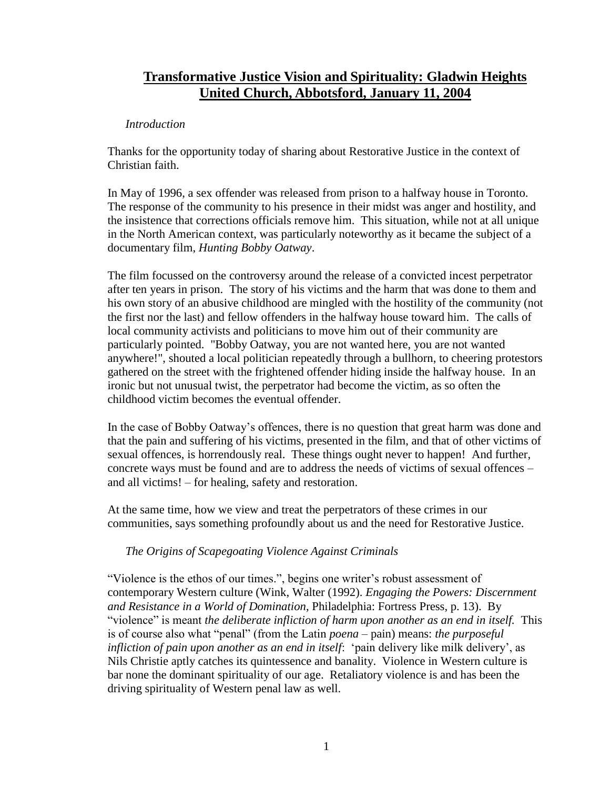# **Transformative Justice Vision and Spirituality: Gladwin Heights United Church, Abbotsford, January 11, 2004**

### *Introduction*

Thanks for the opportunity today of sharing about Restorative Justice in the context of Christian faith.

In May of 1996, a sex offender was released from prison to a halfway house in Toronto. The response of the community to his presence in their midst was anger and hostility, and the insistence that corrections officials remove him. This situation, while not at all unique in the North American context, was particularly noteworthy as it became the subject of a documentary film, *Hunting Bobby Oatway*.

The film focussed on the controversy around the release of a convicted incest perpetrator after ten years in prison. The story of his victims and the harm that was done to them and his own story of an abusive childhood are mingled with the hostility of the community (not the first nor the last) and fellow offenders in the halfway house toward him. The calls of local community activists and politicians to move him out of their community are particularly pointed. "Bobby Oatway, you are not wanted here, you are not wanted anywhere!", shouted a local politician repeatedly through a bullhorn, to cheering protestors gathered on the street with the frightened offender hiding inside the halfway house. In an ironic but not unusual twist, the perpetrator had become the victim, as so often the childhood victim becomes the eventual offender.

In the case of Bobby Oatway's offences, there is no question that great harm was done and that the pain and suffering of his victims, presented in the film, and that of other victims of sexual offences, is horrendously real. These things ought never to happen! And further, concrete ways must be found and are to address the needs of victims of sexual offences – and all victims! – for healing, safety and restoration.

At the same time, how we view and treat the perpetrators of these crimes in our communities, says something profoundly about us and the need for Restorative Justice.

# *The Origins of Scapegoating Violence Against Criminals*

"Violence is the ethos of our times.", begins one writer's robust assessment of contemporary Western culture (Wink, Walter (1992). *Engaging the Powers: Discernment and Resistance in a World of Domination*, Philadelphia: Fortress Press, p. 13). By "violence" is meant *the deliberate infliction of harm upon another as an end in itself.* This is of course also what "penal" (from the Latin *poena* – pain) means: *the purposeful infliction of pain upon another as an end in itself*: 'pain delivery like milk delivery', as Nils Christie aptly catches its quintessence and banality. Violence in Western culture is bar none the dominant spirituality of our age. Retaliatory violence is and has been the driving spirituality of Western penal law as well.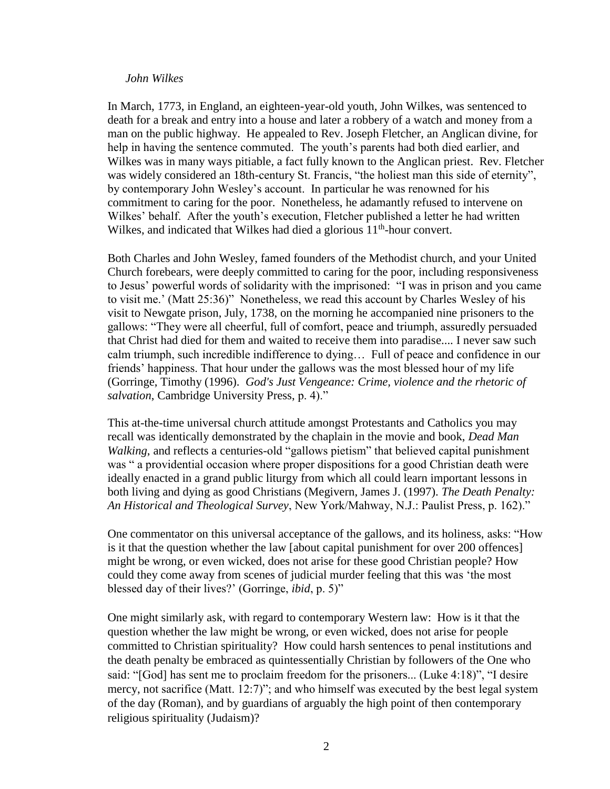#### *John Wilkes*

In March, 1773, in England, an eighteen-year-old youth, John Wilkes, was sentenced to death for a break and entry into a house and later a robbery of a watch and money from a man on the public highway. He appealed to Rev. Joseph Fletcher, an Anglican divine, for help in having the sentence commuted. The youth's parents had both died earlier, and Wilkes was in many ways pitiable, a fact fully known to the Anglican priest. Rev. Fletcher was widely considered an 18th-century St. Francis, "the holiest man this side of eternity", by contemporary John Wesley's account. In particular he was renowned for his commitment to caring for the poor. Nonetheless, he adamantly refused to intervene on Wilkes' behalf. After the youth's execution, Fletcher published a letter he had written Wilkes, and indicated that Wilkes had died a glorious 11<sup>th</sup>-hour convert.

Both Charles and John Wesley, famed founders of the Methodist church, and your United Church forebears, were deeply committed to caring for the poor, including responsiveness to Jesus' powerful words of solidarity with the imprisoned: "I was in prison and you came to visit me.' (Matt 25:36)" Nonetheless, we read this account by Charles Wesley of his visit to Newgate prison, July, 1738, on the morning he accompanied nine prisoners to the gallows: "They were all cheerful, full of comfort, peace and triumph, assuredly persuaded that Christ had died for them and waited to receive them into paradise.... I never saw such calm triumph, such incredible indifference to dying… Full of peace and confidence in our friends' happiness. That hour under the gallows was the most blessed hour of my life (Gorringe, Timothy (1996). *God's Just Vengeance: Crime, violence and the rhetoric of salvation*, Cambridge University Press, p. 4)."

This at-the-time universal church attitude amongst Protestants and Catholics you may recall was identically demonstrated by the chaplain in the movie and book, *Dead Man Walking*, and reflects a centuries-old "gallows pietism" that believed capital punishment was " a providential occasion where proper dispositions for a good Christian death were ideally enacted in a grand public liturgy from which all could learn important lessons in both living and dying as good Christians (Megivern, James J. (1997). *The Death Penalty: An Historical and Theological Survey*, New York/Mahway, N.J.: Paulist Press, p. 162)."

One commentator on this universal acceptance of the gallows, and its holiness, asks: "How is it that the question whether the law [about capital punishment for over 200 offences] might be wrong, or even wicked, does not arise for these good Christian people? How could they come away from scenes of judicial murder feeling that this was 'the most blessed day of their lives?' (Gorringe, *ibid*, p. 5)"

One might similarly ask, with regard to contemporary Western law: How is it that the question whether the law might be wrong, or even wicked, does not arise for people committed to Christian spirituality? How could harsh sentences to penal institutions and the death penalty be embraced as quintessentially Christian by followers of the One who said: "[God] has sent me to proclaim freedom for the prisoners... (Luke 4:18)", "I desire mercy, not sacrifice (Matt. 12:7)"; and who himself was executed by the best legal system of the day (Roman), and by guardians of arguably the high point of then contemporary religious spirituality (Judaism)?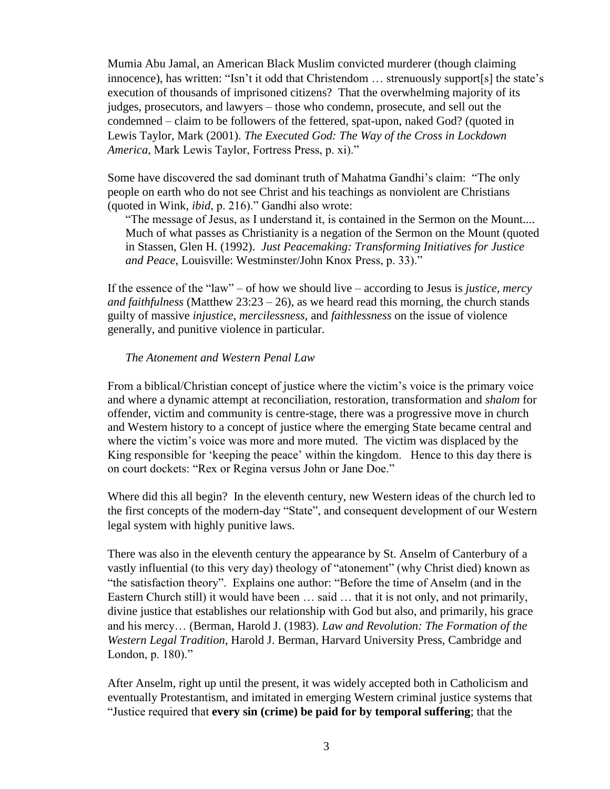Mumia Abu Jamal, an American Black Muslim convicted murderer (though claiming innocence), has written: "Isn't it odd that Christendom … strenuously support[s] the state's execution of thousands of imprisoned citizens? That the overwhelming majority of its judges, prosecutors, and lawyers – those who condemn, prosecute, and sell out the condemned – claim to be followers of the fettered, spat-upon, naked God? (quoted in Lewis Taylor, Mark (2001). *The Executed God: The Way of the Cross in Lockdown America*, Mark Lewis Taylor, Fortress Press, p. xi)."

Some have discovered the sad dominant truth of Mahatma Gandhi's claim: "The only people on earth who do not see Christ and his teachings as nonviolent are Christians (quoted in Wink, *ibid*, p. 216)." Gandhi also wrote:

"The message of Jesus, as I understand it, is contained in the Sermon on the Mount.... Much of what passes as Christianity is a negation of the Sermon on the Mount (quoted in Stassen, Glen H. (1992). *Just Peacemaking: Transforming Initiatives for Justice and Peace*, Louisville: Westminster/John Knox Press, p. 33)."

If the essence of the "law" – of how we should live – according to Jesus is *justice, mercy and faithfulness* (Matthew  $23:23 - 26$ ), as we heard read this morning, the church stands guilty of massive *injustice*, *mercilessness*, and *faithlessness* on the issue of violence generally, and punitive violence in particular.

#### *The Atonement and Western Penal Law*

From a biblical/Christian concept of justice where the victim's voice is the primary voice and where a dynamic attempt at reconciliation, restoration, transformation and *shalom* for offender, victim and community is centre-stage, there was a progressive move in church and Western history to a concept of justice where the emerging State became central and where the victim's voice was more and more muted. The victim was displaced by the King responsible for 'keeping the peace' within the kingdom. Hence to this day there is on court dockets: "Rex or Regina versus John or Jane Doe."

Where did this all begin? In the eleventh century, new Western ideas of the church led to the first concepts of the modern-day "State", and consequent development of our Western legal system with highly punitive laws.

There was also in the eleventh century the appearance by St. Anselm of Canterbury of a vastly influential (to this very day) theology of "atonement" (why Christ died) known as "the satisfaction theory". Explains one author: "Before the time of Anselm (and in the Eastern Church still) it would have been … said … that it is not only, and not primarily, divine justice that establishes our relationship with God but also, and primarily, his grace and his mercy… (Berman, Harold J. (1983). *Law and Revolution: The Formation of the Western Legal Tradition*, Harold J. Berman, Harvard University Press, Cambridge and London, p. 180)."

After Anselm, right up until the present, it was widely accepted both in Catholicism and eventually Protestantism, and imitated in emerging Western criminal justice systems that "Justice required that **every sin (crime) be paid for by temporal suffering**; that the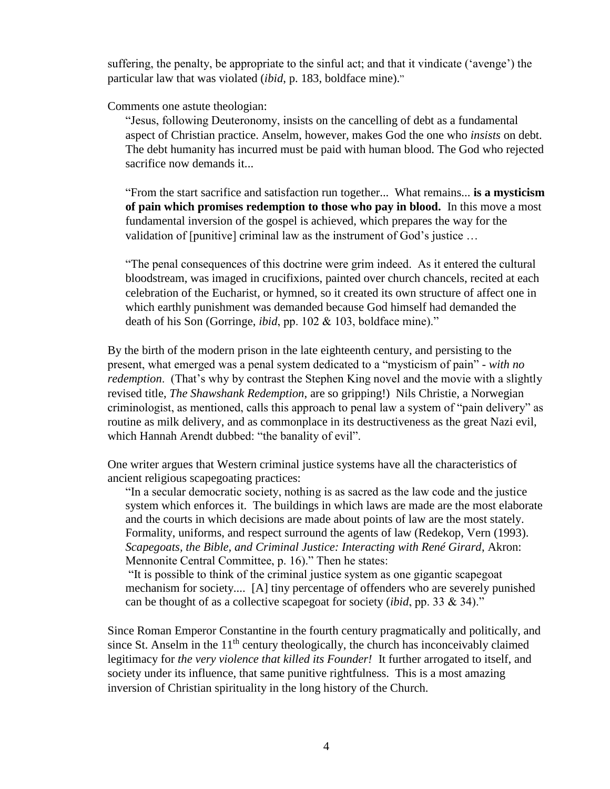suffering, the penalty, be appropriate to the sinful act; and that it vindicate ('avenge') the particular law that was violated (*ibid*, p. 183, boldface mine)."

Comments one astute theologian:

"Jesus, following Deuteronomy, insists on the cancelling of debt as a fundamental aspect of Christian practice. Anselm, however, makes God the one who *insists* on debt. The debt humanity has incurred must be paid with human blood. The God who rejected sacrifice now demands it...

"From the start sacrifice and satisfaction run together... What remains... **is a mysticism of pain which promises redemption to those who pay in blood.** In this move a most fundamental inversion of the gospel is achieved, which prepares the way for the validation of [punitive] criminal law as the instrument of God's justice …

"The penal consequences of this doctrine were grim indeed. As it entered the cultural bloodstream, was imaged in crucifixions, painted over church chancels, recited at each celebration of the Eucharist, or hymned, so it created its own structure of affect one in which earthly punishment was demanded because God himself had demanded the death of his Son (Gorringe, *ibid*, pp. 102 & 103, boldface mine)."

By the birth of the modern prison in the late eighteenth century, and persisting to the present, what emerged was a penal system dedicated to a "mysticism of pain" - *with no redemption*. (That's why by contrast the Stephen King novel and the movie with a slightly revised title, *The Shawshank Redemption*, are so gripping!) Nils Christie, a Norwegian criminologist, as mentioned, calls this approach to penal law a system of "pain delivery" as routine as milk delivery, and as commonplace in its destructiveness as the great Nazi evil, which Hannah Arendt dubbed: "the banality of evil".

One writer argues that Western criminal justice systems have all the characteristics of ancient religious scapegoating practices:

"In a secular democratic society, nothing is as sacred as the law code and the justice system which enforces it. The buildings in which laws are made are the most elaborate and the courts in which decisions are made about points of law are the most stately. Formality, uniforms, and respect surround the agents of law (Redekop, Vern (1993). *Scapegoats, the Bible, and Criminal Justice: Interacting with René Girard*, Akron: Mennonite Central Committee, p. 16)." Then he states:

"It is possible to think of the criminal justice system as one gigantic scapegoat mechanism for society.... [A] tiny percentage of offenders who are severely punished can be thought of as a collective scapegoat for society (*ibid*, pp. 33 & 34)."

Since Roman Emperor Constantine in the fourth century pragmatically and politically, and since St. Anselm in the  $11<sup>th</sup>$  century theologically, the church has inconceivably claimed legitimacy for *the very violence that killed its Founder!* It further arrogated to itself, and society under its influence, that same punitive rightfulness. This is a most amazing inversion of Christian spirituality in the long history of the Church.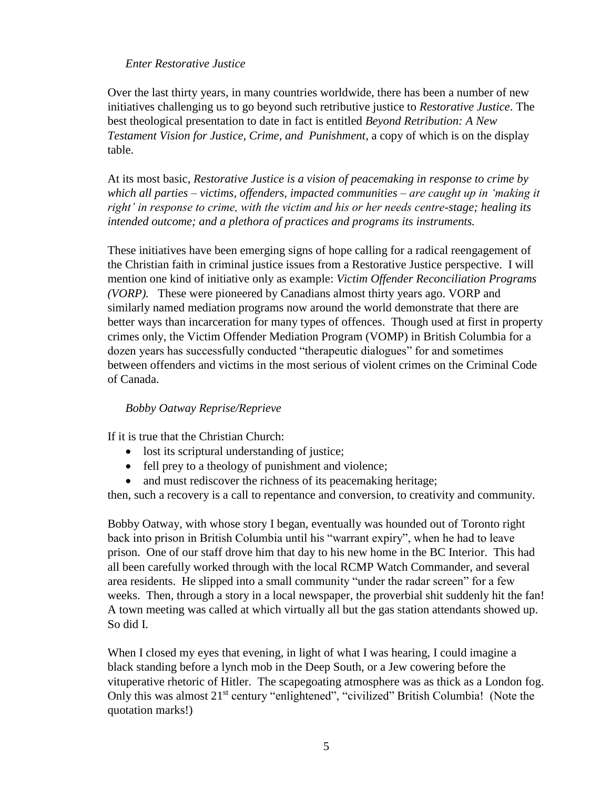### *Enter Restorative Justice*

Over the last thirty years, in many countries worldwide, there has been a number of new initiatives challenging us to go beyond such retributive justice to *Restorative Justice*. The best theological presentation to date in fact is entitled *Beyond Retribution: A New Testament Vision for Justice, Crime, and Punishment*, a copy of which is on the display table.

At its most basic, *Restorative Justice is a vision of peacemaking in response to crime by which all parties – victims, offenders, impacted communities – are caught up in 'making it right' in response to crime, with the victim and his or her needs centre-stage; healing its intended outcome; and a plethora of practices and programs its instruments.* 

These initiatives have been emerging signs of hope calling for a radical reengagement of the Christian faith in criminal justice issues from a Restorative Justice perspective. I will mention one kind of initiative only as example: *Victim Offender Reconciliation Programs (VORP).* These were pioneered by Canadians almost thirty years ago. VORP and similarly named mediation programs now around the world demonstrate that there are better ways than incarceration for many types of offences. Though used at first in property crimes only, the Victim Offender Mediation Program (VOMP) in British Columbia for a dozen years has successfully conducted "therapeutic dialogues" for and sometimes between offenders and victims in the most serious of violent crimes on the Criminal Code of Canada.

# *Bobby Oatway Reprise/Reprieve*

If it is true that the Christian Church:

- lost its scriptural understanding of justice;
- fell prey to a theology of punishment and violence;
- and must rediscover the richness of its peacemaking heritage;

then, such a recovery is a call to repentance and conversion, to creativity and community.

Bobby Oatway, with whose story I began, eventually was hounded out of Toronto right back into prison in British Columbia until his "warrant expiry", when he had to leave prison. One of our staff drove him that day to his new home in the BC Interior. This had all been carefully worked through with the local RCMP Watch Commander, and several area residents. He slipped into a small community "under the radar screen" for a few weeks. Then, through a story in a local newspaper, the proverbial shit suddenly hit the fan! A town meeting was called at which virtually all but the gas station attendants showed up. So did I.

When I closed my eyes that evening, in light of what I was hearing, I could imagine a black standing before a lynch mob in the Deep South, or a Jew cowering before the vituperative rhetoric of Hitler. The scapegoating atmosphere was as thick as a London fog. Only this was almost 21<sup>st</sup> century "enlightened", "civilized" British Columbia! (Note the quotation marks!)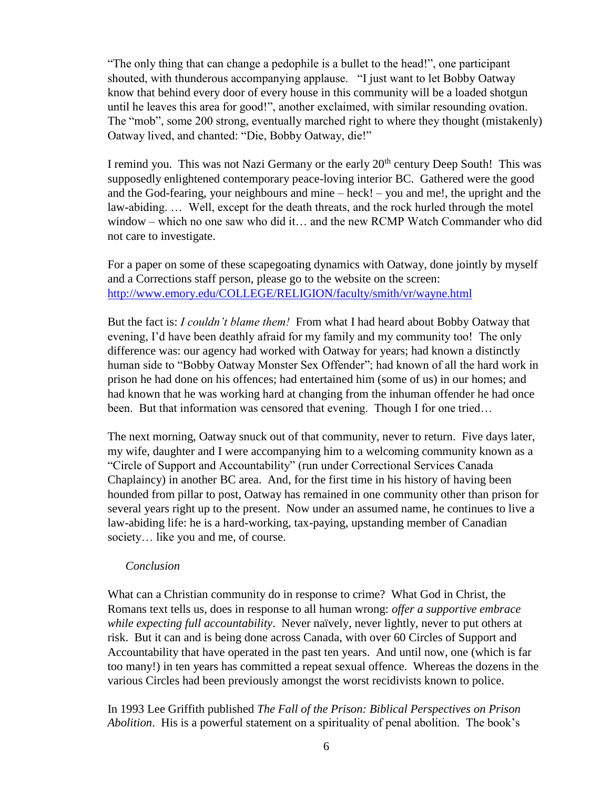"The only thing that can change a pedophile is a bullet to the head!", one participant shouted, with thunderous accompanying applause. "I just want to let Bobby Oatway know that behind every door of every house in this community will be a loaded shotgun until he leaves this area for good!", another exclaimed, with similar resounding ovation. The "mob", some 200 strong, eventually marched right to where they thought (mistakenly) Oatway lived, and chanted: "Die, Bobby Oatway, die!"

I remind you. This was not Nazi Germany or the early  $20<sup>th</sup>$  century Deep South! This was supposedly enlightened contemporary peace-loving interior BC. Gathered were the good and the God-fearing, your neighbours and mine – heck! – you and me!, the upright and the law-abiding. … Well, except for the death threats, and the rock hurled through the motel window – which no one saw who did it… and the new RCMP Watch Commander who did not care to investigate.

For a paper on some of these scapegoating dynamics with Oatway, done jointly by myself and a Corrections staff person, please go to the website on the screen: <http://www.emory.edu/COLLEGE/RELIGION/faculty/smith/vr/wayne.html>

But the fact is: *I couldn't blame them!* From what I had heard about Bobby Oatway that evening, I'd have been deathly afraid for my family and my community too! The only difference was: our agency had worked with Oatway for years; had known a distinctly human side to "Bobby Oatway Monster Sex Offender"; had known of all the hard work in prison he had done on his offences; had entertained him (some of us) in our homes; and had known that he was working hard at changing from the inhuman offender he had once been. But that information was censored that evening. Though I for one tried...

The next morning, Oatway snuck out of that community, never to return. Five days later, my wife, daughter and I were accompanying him to a welcoming community known as a "Circle of Support and Accountability" (run under Correctional Services Canada Chaplaincy) in another BC area. And, for the first time in his history of having been hounded from pillar to post, Oatway has remained in one community other than prison for several years right up to the present. Now under an assumed name, he continues to live a law-abiding life: he is a hard-working, tax-paying, upstanding member of Canadian society… like you and me, of course.

#### *Conclusion*

What can a Christian community do in response to crime? What God in Christ, the Romans text tells us, does in response to all human wrong: *offer a supportive embrace while expecting full accountability*. Never naïvely, never lightly, never to put others at risk. But it can and is being done across Canada, with over 60 Circles of Support and Accountability that have operated in the past ten years. And until now, one (which is far too many!) in ten years has committed a repeat sexual offence. Whereas the dozens in the various Circles had been previously amongst the worst recidivists known to police.

In 1993 Lee Griffith published *The Fall of the Prison: Biblical Perspectives on Prison Abolition*. His is a powerful statement on a spirituality of penal abolition. The book's